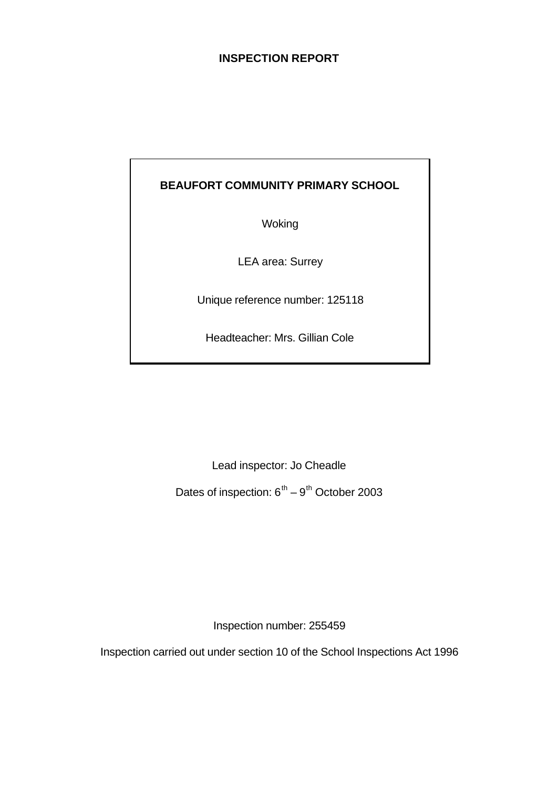# **INSPECTION REPORT**

# **BEAUFORT COMMUNITY PRIMARY SCHOOL**

Woking

LEA area: Surrey

Unique reference number: 125118

Headteacher: Mrs. Gillian Cole

Lead inspector: Jo Cheadle

Dates of inspection:  $6^{th} - 9^{th}$  October 2003

Inspection number: 255459

Inspection carried out under section 10 of the School Inspections Act 1996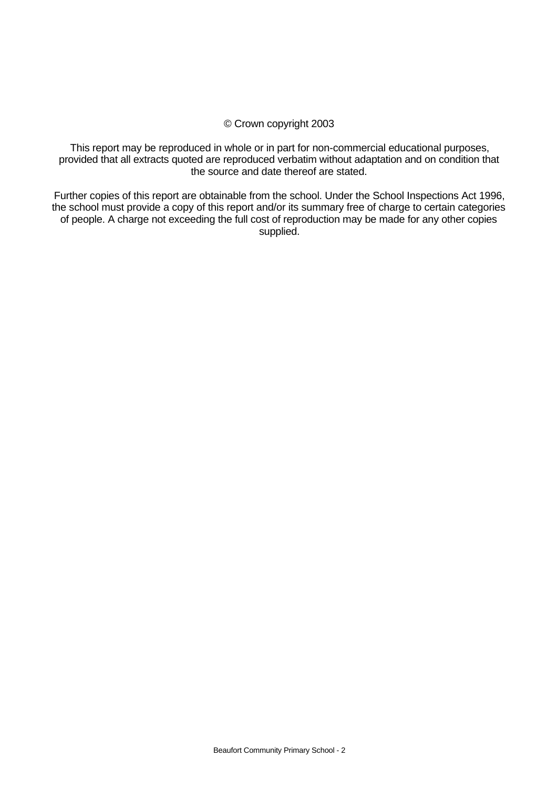#### © Crown copyright 2003

This report may be reproduced in whole or in part for non-commercial educational purposes, provided that all extracts quoted are reproduced verbatim without adaptation and on condition that the source and date thereof are stated.

Further copies of this report are obtainable from the school. Under the School Inspections Act 1996, the school must provide a copy of this report and/or its summary free of charge to certain categories of people. A charge not exceeding the full cost of reproduction may be made for any other copies supplied.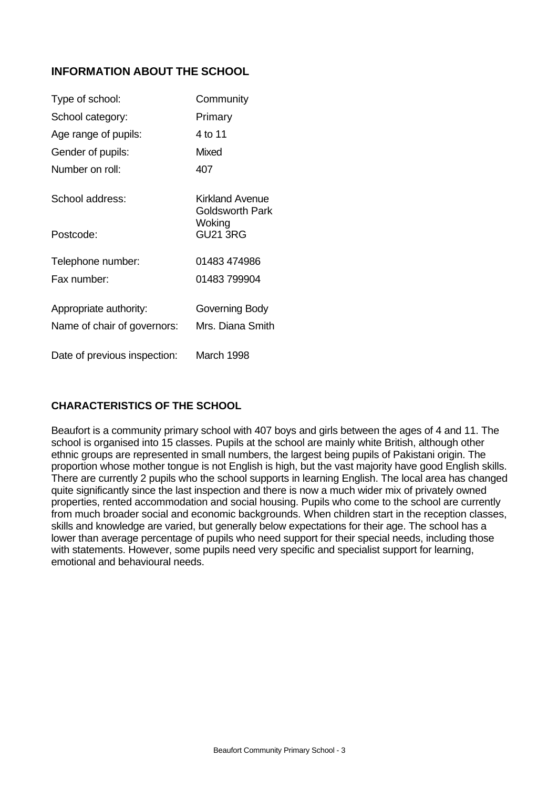# **INFORMATION ABOUT THE SCHOOL**

| Type of school:              | Community                                    |
|------------------------------|----------------------------------------------|
| School category:             | Primary                                      |
| Age range of pupils:         | 4 to 11                                      |
| Gender of pupils:            | Mixed                                        |
| Number on roll:              | 407                                          |
| School address:              | Kirkland Avenue<br>Goldsworth Park<br>Woking |
| Postcode:                    | <b>GU21 3RG</b>                              |
| Telephone number:            | 01483 474986                                 |
| Fax number:                  | 01483 799904                                 |
| Appropriate authority:       | Governing Body                               |
| Name of chair of governors:  | Mrs. Diana Smith                             |
| Date of previous inspection: | March 1998                                   |

# **CHARACTERISTICS OF THE SCHOOL**

Beaufort is a community primary school with 407 boys and girls between the ages of 4 and 11. The school is organised into 15 classes. Pupils at the school are mainly white British, although other ethnic groups are represented in small numbers, the largest being pupils of Pakistani origin. The proportion whose mother tongue is not English is high, but the vast majority have good English skills. There are currently 2 pupils who the school supports in learning English. The local area has changed quite significantly since the last inspection and there is now a much wider mix of privately owned properties, rented accommodation and social housing. Pupils who come to the school are currently from much broader social and economic backgrounds. When children start in the reception classes, skills and knowledge are varied, but generally below expectations for their age. The school has a lower than average percentage of pupils who need support for their special needs, including those with statements. However, some pupils need very specific and specialist support for learning, emotional and behavioural needs.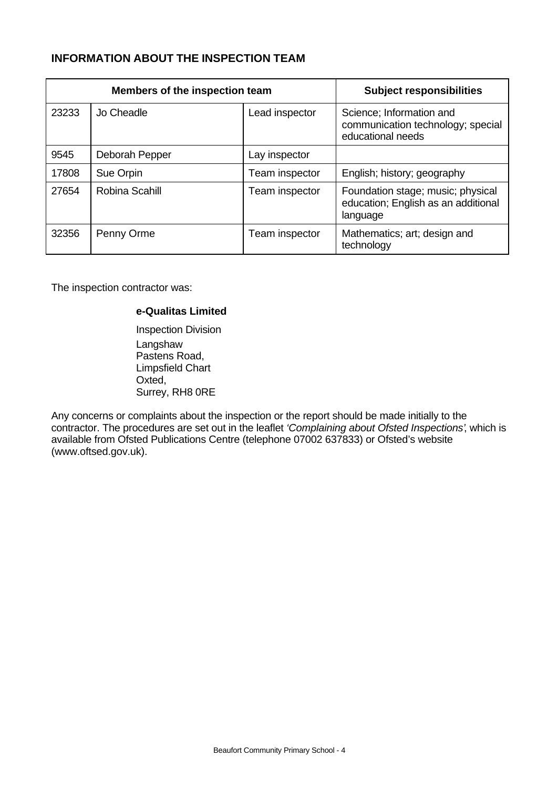# **INFORMATION ABOUT THE INSPECTION TEAM**

|       | Members of the inspection team | <b>Subject responsibilities</b> |                                                                                      |
|-------|--------------------------------|---------------------------------|--------------------------------------------------------------------------------------|
| 23233 | Jo Cheadle                     | Lead inspector                  | Science; Information and<br>communication technology; special<br>educational needs   |
| 9545  | Deborah Pepper                 | Lay inspector                   |                                                                                      |
| 17808 | Sue Orpin                      | Team inspector                  | English; history; geography                                                          |
| 27654 | Robina Scahill                 | Team inspector                  | Foundation stage; music; physical<br>education; English as an additional<br>language |
| 32356 | Penny Orme                     | Team inspector                  | Mathematics; art; design and<br>technology                                           |

The inspection contractor was:

#### **e-Qualitas Limited**

Inspection Division Langshaw Pastens Road, Limpsfield Chart Oxted, Surrey, RH8 0RE

Any concerns or complaints about the inspection or the report should be made initially to the contractor. The procedures are set out in the leaflet *'Complaining about Ofsted Inspections'*, which is available from Ofsted Publications Centre (telephone 07002 637833) or Ofsted's website (www.oftsed.gov.uk).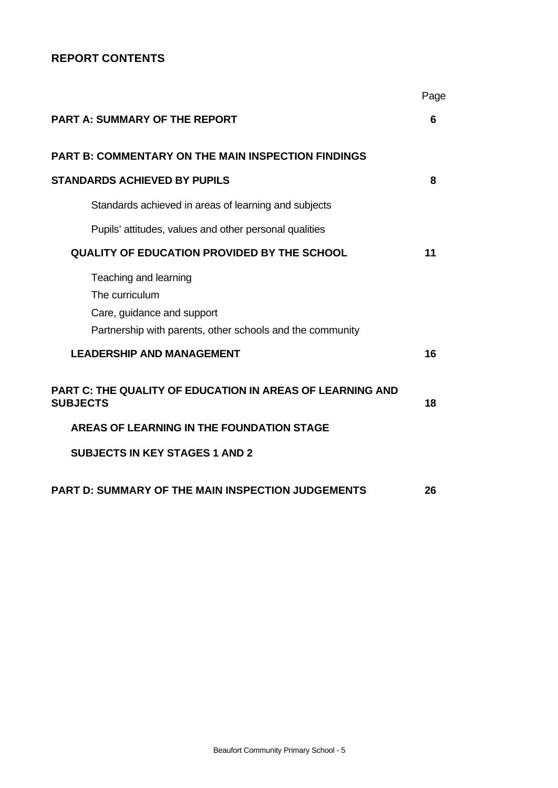# **REPORT CONTENTS**

|                                                                                     | Page |
|-------------------------------------------------------------------------------------|------|
| <b>PART A: SUMMARY OF THE REPORT</b>                                                | 6    |
| <b>PART B: COMMENTARY ON THE MAIN INSPECTION FINDINGS</b>                           |      |
| <b>STANDARDS ACHIEVED BY PUPILS</b>                                                 | 8    |
| Standards achieved in areas of learning and subjects                                |      |
| Pupils' attitudes, values and other personal qualities                              |      |
| QUALITY OF EDUCATION PROVIDED BY THE SCHOOL                                         | 11   |
| Teaching and learning<br>The curriculum<br>Care, guidance and support               |      |
| Partnership with parents, other schools and the community                           |      |
| <b>LEADERSHIP AND MANAGEMENT</b>                                                    | 16   |
| <b>PART C: THE QUALITY OF EDUCATION IN AREAS OF LEARNING AND</b><br><b>SUBJECTS</b> | 18   |
| AREAS OF LEARNING IN THE FOUNDATION STAGE                                           |      |
| <b>SUBJECTS IN KEY STAGES 1 AND 2</b>                                               |      |
| <b>PART D: SUMMARY OF THE MAIN INSPECTION JUDGEMENTS</b>                            | 26   |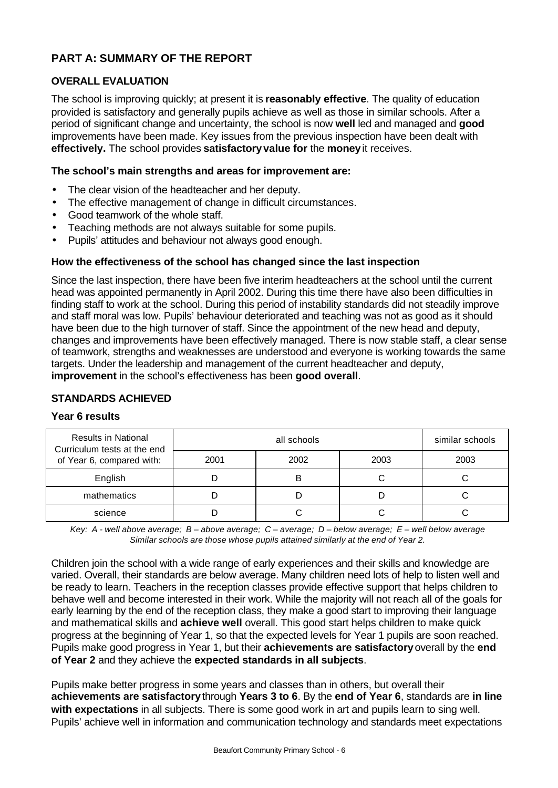# **PART A: SUMMARY OF THE REPORT**

# **OVERALL EVALUATION**

The school is improving quickly; at present it is **reasonably effective**. The quality of education provided is satisfactory and generally pupils achieve as well as those in similar schools. After a period of significant change and uncertainty, the school is now **well** led and managed and **good** improvements have been made. Key issues from the previous inspection have been dealt with **effectively.** The school provides **satisfactoryvalue for** the **money** it receives.

#### **The school's main strengths and areas for improvement are:**

- The clear vision of the headteacher and her deputy.
- The effective management of change in difficult circumstances.
- Good teamwork of the whole staff.
- Teaching methods are not always suitable for some pupils.
- Pupils' attitudes and behaviour not always good enough.

#### **How the effectiveness of the school has changed since the last inspection**

Since the last inspection, there have been five interim headteachers at the school until the current head was appointed permanently in April 2002. During this time there have also been difficulties in finding staff to work at the school. During this period of instability standards did not steadily improve and staff moral was low. Pupils' behaviour deteriorated and teaching was not as good as it should have been due to the high turnover of staff. Since the appointment of the new head and deputy, changes and improvements have been effectively managed. There is now stable staff, a clear sense of teamwork, strengths and weaknesses are understood and everyone is working towards the same targets. Under the leadership and management of the current headteacher and deputy, **improvement** in the school's effectiveness has been **good overall**.

#### **STANDARDS ACHIEVED**

#### **Year 6 results**

| <b>Results in National</b><br>Curriculum tests at the end |      | similar schools |      |      |
|-----------------------------------------------------------|------|-----------------|------|------|
| of Year 6, compared with:                                 | 2001 | 2002            | 2003 | 2003 |
| English                                                   |      | B               |      |      |
| mathematics                                               |      |                 |      |      |
| science                                                   |      |                 |      |      |

*Key: A - well above average; B – above average; C – average; D – below average; E – well below average Similar schools are those whose pupils attained similarly at the end of Year 2.*

Children join the school with a wide range of early experiences and their skills and knowledge are varied. Overall, their standards are below average. Many children need lots of help to listen well and be ready to learn. Teachers in the reception classes provide effective support that helps children to behave well and become interested in their work. While the majority will not reach all of the goals for early learning by the end of the reception class, they make a good start to improving their language and mathematical skills and **achieve well** overall. This good start helps children to make quick progress at the beginning of Year 1, so that the expected levels for Year 1 pupils are soon reached. Pupils make good progress in Year 1, but their **achievements are satisfactory** overall by the **end of Year 2** and they achieve the **expected standards in all subjects**.

Pupils make better progress in some years and classes than in others, but overall their **achievements are satisfactory** through **Years 3 to 6**. By the **end of Year 6**, standards are **in line with expectations** in all subjects. There is some good work in art and pupils learn to sing well. Pupils' achieve well in information and communication technology and standards meet expectations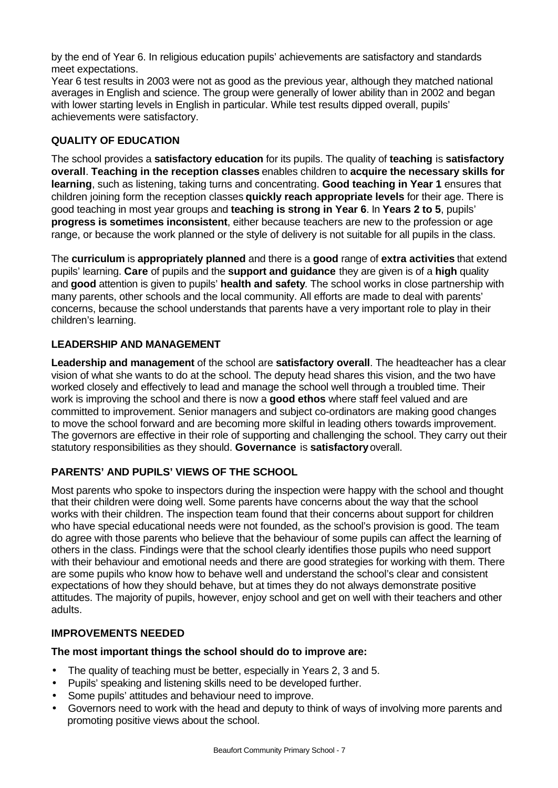by the end of Year 6. In religious education pupils' achievements are satisfactory and standards meet expectations.

Year 6 test results in 2003 were not as good as the previous year, although they matched national averages in English and science. The group were generally of lower ability than in 2002 and began with lower starting levels in English in particular. While test results dipped overall, pupils' achievements were satisfactory.

# **QUALITY OF EDUCATION**

The school provides a **satisfactory education** for its pupils. The quality of **teaching** is **satisfactory overall**. **Teaching in the reception classes** enables children to **acquire the necessary skills for learning**, such as listening, taking turns and concentrating. **Good teaching in Year 1** ensures that children joining form the reception classes **quickly reach appropriate levels** for their age. There is good teaching in most year groups and **teaching is strong in Year 6**. In **Years 2 to 5**, pupils' **progress is sometimes inconsistent**, either because teachers are new to the profession or age range, or because the work planned or the style of delivery is not suitable for all pupils in the class.

The **curriculum** is **appropriately planned** and there is a **good** range of **extra activities** that extend pupils' learning. **Care** of pupils and the **support and guidance** they are given is of a **high** quality and **good** attention is given to pupils' **health and safety**. The school works in close partnership with many parents, other schools and the local community. All efforts are made to deal with parents' concerns, because the school understands that parents have a very important role to play in their children's learning.

## **LEADERSHIP AND MANAGEMENT**

**Leadership and management** of the school are **satisfactory overall**. The headteacher has a clear vision of what she wants to do at the school. The deputy head shares this vision, and the two have worked closely and effectively to lead and manage the school well through a troubled time. Their work is improving the school and there is now a **good ethos** where staff feel valued and are committed to improvement. Senior managers and subject co-ordinators are making good changes to move the school forward and are becoming more skilful in leading others towards improvement. The governors are effective in their role of supporting and challenging the school. They carry out their statutory responsibilities as they should. **Governance** is **satisfactory** overall.

# **PARENTS' AND PUPILS' VIEWS OF THE SCHOOL**

Most parents who spoke to inspectors during the inspection were happy with the school and thought that their children were doing well. Some parents have concerns about the way that the school works with their children. The inspection team found that their concerns about support for children who have special educational needs were not founded, as the school's provision is good. The team do agree with those parents who believe that the behaviour of some pupils can affect the learning of others in the class. Findings were that the school clearly identifies those pupils who need support with their behaviour and emotional needs and there are good strategies for working with them. There are some pupils who know how to behave well and understand the school's clear and consistent expectations of how they should behave, but at times they do not always demonstrate positive attitudes. The majority of pupils, however, enjoy school and get on well with their teachers and other adults.

#### **IMPROVEMENTS NEEDED**

#### **The most important things the school should do to improve are:**

- The quality of teaching must be better, especially in Years 2, 3 and 5.
- Pupils' speaking and listening skills need to be developed further.
- Some pupils' attitudes and behaviour need to improve.
- Governors need to work with the head and deputy to think of ways of involving more parents and promoting positive views about the school.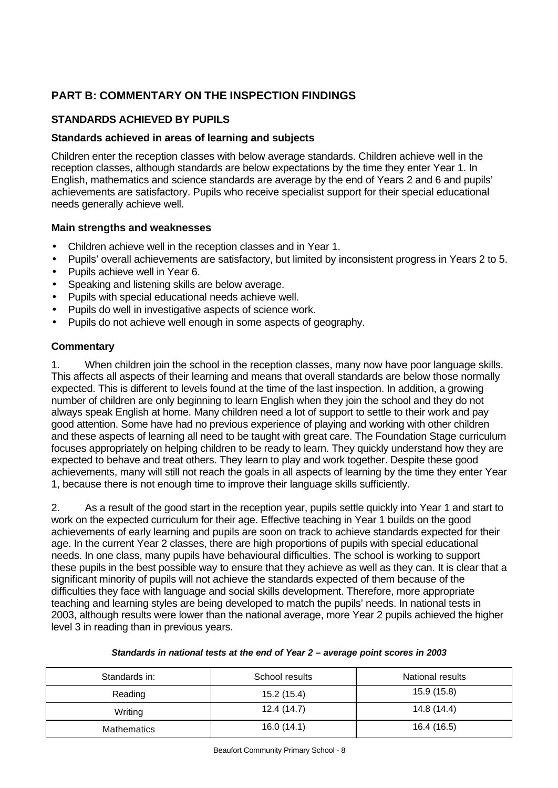# **PART B: COMMENTARY ON THE INSPECTION FINDINGS**

# **STANDARDS ACHIEVED BY PUPILS**

#### **Standards achieved in areas of learning and subjects**

Children enter the reception classes with below average standards. Children achieve well in the reception classes, although standards are below expectations by the time they enter Year 1. In English, mathematics and science standards are average by the end of Years 2 and 6 and pupils' achievements are satisfactory. Pupils who receive specialist support for their special educational needs generally achieve well.

#### **Main strengths and weaknesses**

- Children achieve well in the reception classes and in Year 1.
- Pupils' overall achievements are satisfactory, but limited by inconsistent progress in Years 2 to 5.
- Pupils achieve well in Year 6.
- Speaking and listening skills are below average.
- Pupils with special educational needs achieve well.
- Pupils do well in investigative aspects of science work.
- Pupils do not achieve well enough in some aspects of geography.

#### **Commentary**

1. When children join the school in the reception classes, many now have poor language skills. This affects all aspects of their learning and means that overall standards are below those normally expected. This is different to levels found at the time of the last inspection. In addition, a growing number of children are only beginning to learn English when they join the school and they do not always speak English at home. Many children need a lot of support to settle to their work and pay good attention. Some have had no previous experience of playing and working with other children and these aspects of learning all need to be taught with great care. The Foundation Stage curriculum focuses appropriately on helping children to be ready to learn. They quickly understand how they are expected to behave and treat others. They learn to play and work together. Despite these good achievements, many will still not reach the goals in all aspects of learning by the time they enter Year 1, because there is not enough time to improve their language skills sufficiently.

2. As a result of the good start in the reception year, pupils settle quickly into Year 1 and start to work on the expected curriculum for their age. Effective teaching in Year 1 builds on the good achievements of early learning and pupils are soon on track to achieve standards expected for their age. In the current Year 2 classes, there are high proportions of pupils with special educational needs. In one class, many pupils have behavioural difficulties. The school is working to support these pupils in the best possible way to ensure that they achieve as well as they can. It is clear that a significant minority of pupils will not achieve the standards expected of them because of the difficulties they face with language and social skills development. Therefore, more appropriate teaching and learning styles are being developed to match the pupils' needs. In national tests in 2003, although results were lower than the national average, more Year 2 pupils achieved the higher level 3 in reading than in previous years.

#### *Standards in national tests at the end of Year 2 – average point scores in 2003*

| Standards in: | School results | National results |
|---------------|----------------|------------------|
| Reading       | 15.2 (15.4)    | 15.9 (15.8)      |
| Writing       | 12.4 (14.7)    | 14.8 (14.4)      |
| Mathematics   | 16.0(14.1)     | 16.4 (16.5)      |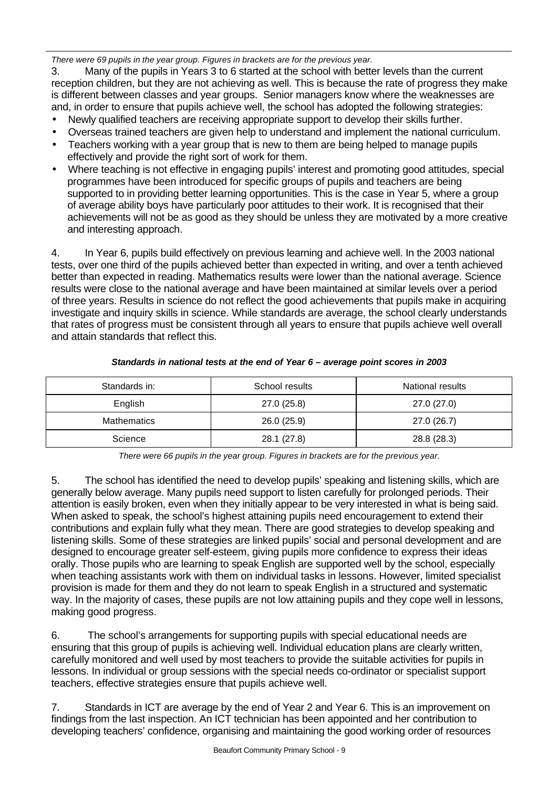*There were 69 pupils in the year group. Figures in brackets are for the previous year.*

3. Many of the pupils in Years 3 to 6 started at the school with better levels than the current reception children, but they are not achieving as well. This is because the rate of progress they make is different between classes and year groups. Senior managers know where the weaknesses are and, in order to ensure that pupils achieve well, the school has adopted the following strategies:

- Newly qualified teachers are receiving appropriate support to develop their skills further.
- Overseas trained teachers are given help to understand and implement the national curriculum.
- Teachers working with a year group that is new to them are being helped to manage pupils effectively and provide the right sort of work for them.
- Where teaching is not effective in engaging pupils' interest and promoting good attitudes, special programmes have been introduced for specific groups of pupils and teachers are being supported to in providing better learning opportunities. This is the case in Year 5, where a group of average ability boys have particularly poor attitudes to their work. It is recognised that their achievements will not be as good as they should be unless they are motivated by a more creative and interesting approach.

4. In Year 6, pupils build effectively on previous learning and achieve well. In the 2003 national tests, over one third of the pupils achieved better than expected in writing, and over a tenth achieved better than expected in reading. Mathematics results were lower than the national average. Science results were close to the national average and have been maintained at similar levels over a period of three years. Results in science do not reflect the good achievements that pupils make in acquiring investigate and inquiry skills in science. While standards are average, the school clearly understands that rates of progress must be consistent through all years to ensure that pupils achieve well overall and attain standards that reflect this.

| Standards in:      | School results | National results |
|--------------------|----------------|------------------|
| English            | 27.0(25.8)     | 27.0 (27.0)      |
| <b>Mathematics</b> | 26.0(25.9)     | 27.0 (26.7)      |
| Science            | 28.1 (27.8)    | 28.8 (28.3)      |

#### *Standards in national tests at the end of Year 6 – average point scores in 2003*

*There were 66 pupils in the year group. Figures in brackets are for the previous year.*

5. The school has identified the need to develop pupils' speaking and listening skills, which are generally below average. Many pupils need support to listen carefully for prolonged periods. Their attention is easily broken, even when they initially appear to be very interested in what is being said. When asked to speak, the school's highest attaining pupils need encouragement to extend their contributions and explain fully what they mean. There are good strategies to develop speaking and listening skills. Some of these strategies are linked pupils' social and personal development and are designed to encourage greater self-esteem, giving pupils more confidence to express their ideas orally. Those pupils who are learning to speak English are supported well by the school, especially when teaching assistants work with them on individual tasks in lessons. However, limited specialist provision is made for them and they do not learn to speak English in a structured and systematic way. In the majority of cases, these pupils are not low attaining pupils and they cope well in lessons, making good progress.

6. The school's arrangements for supporting pupils with special educational needs are ensuring that this group of pupils is achieving well. Individual education plans are clearly written, carefully monitored and well used by most teachers to provide the suitable activities for pupils in lessons. In individual or group sessions with the special needs co-ordinator or specialist support teachers, effective strategies ensure that pupils achieve well.

7. Standards in ICT are average by the end of Year 2 and Year 6. This is an improvement on findings from the last inspection. An ICT technician has been appointed and her contribution to developing teachers' confidence, organising and maintaining the good working order of resources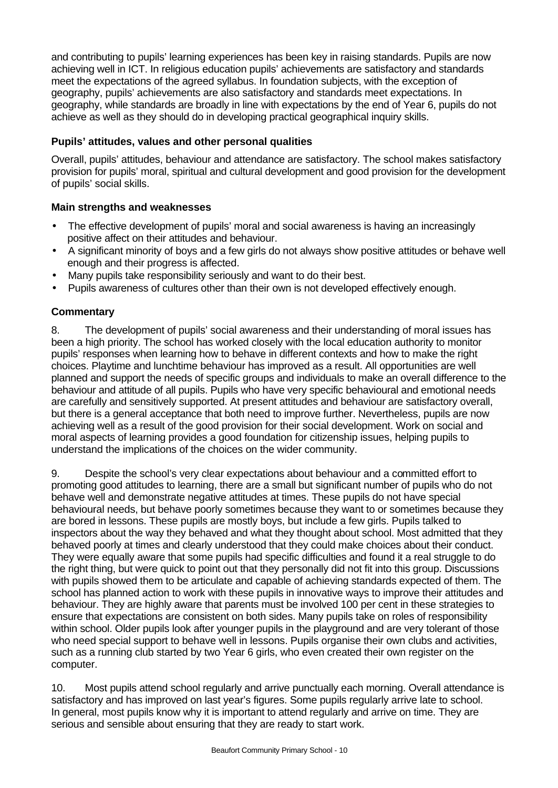and contributing to pupils' learning experiences has been key in raising standards. Pupils are now achieving well in ICT. In religious education pupils' achievements are satisfactory and standards meet the expectations of the agreed syllabus. In foundation subjects, with the exception of geography, pupils' achievements are also satisfactory and standards meet expectations. In geography, while standards are broadly in line with expectations by the end of Year 6, pupils do not achieve as well as they should do in developing practical geographical inquiry skills.

# **Pupils' attitudes, values and other personal qualities**

Overall, pupils' attitudes, behaviour and attendance are satisfactory. The school makes satisfactory provision for pupils' moral, spiritual and cultural development and good provision for the development of pupils' social skills.

# **Main strengths and weaknesses**

- The effective development of pupils' moral and social awareness is having an increasingly positive affect on their attitudes and behaviour.
- A significant minority of boys and a few girls do not always show positive attitudes or behave well enough and their progress is affected.
- Many pupils take responsibility seriously and want to do their best.
- Pupils awareness of cultures other than their own is not developed effectively enough.

# **Commentary**

8. The development of pupils' social awareness and their understanding of moral issues has been a high priority. The school has worked closely with the local education authority to monitor pupils' responses when learning how to behave in different contexts and how to make the right choices. Playtime and lunchtime behaviour has improved as a result. All opportunities are well planned and support the needs of specific groups and individuals to make an overall difference to the behaviour and attitude of all pupils. Pupils who have very specific behavioural and emotional needs are carefully and sensitively supported. At present attitudes and behaviour are satisfactory overall, but there is a general acceptance that both need to improve further. Nevertheless, pupils are now achieving well as a result of the good provision for their social development. Work on social and moral aspects of learning provides a good foundation for citizenship issues, helping pupils to understand the implications of the choices on the wider community.

9. Despite the school's very clear expectations about behaviour and a committed effort to promoting good attitudes to learning, there are a small but significant number of pupils who do not behave well and demonstrate negative attitudes at times. These pupils do not have special behavioural needs, but behave poorly sometimes because they want to or sometimes because they are bored in lessons. These pupils are mostly boys, but include a few girls. Pupils talked to inspectors about the way they behaved and what they thought about school. Most admitted that they behaved poorly at times and clearly understood that they could make choices about their conduct. They were equally aware that some pupils had specific difficulties and found it a real struggle to do the right thing, but were quick to point out that they personally did not fit into this group. Discussions with pupils showed them to be articulate and capable of achieving standards expected of them. The school has planned action to work with these pupils in innovative ways to improve their attitudes and behaviour. They are highly aware that parents must be involved 100 per cent in these strategies to ensure that expectations are consistent on both sides. Many pupils take on roles of responsibility within school. Older pupils look after younger pupils in the playground and are very tolerant of those who need special support to behave well in lessons. Pupils organise their own clubs and activities, such as a running club started by two Year 6 girls, who even created their own register on the computer.

10. Most pupils attend school regularly and arrive punctually each morning. Overall attendance is satisfactory and has improved on last year's figures. Some pupils regularly arrive late to school. In general, most pupils know why it is important to attend regularly and arrive on time. They are serious and sensible about ensuring that they are ready to start work.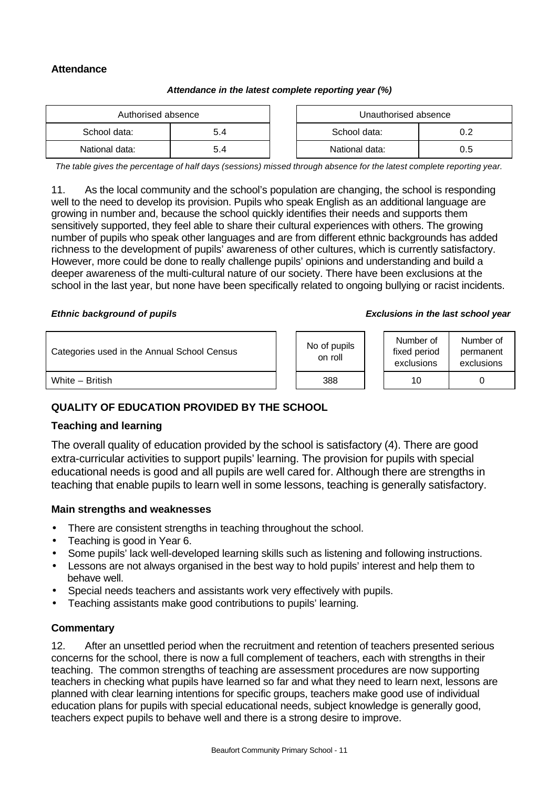# **Attendance**

#### *Attendance in the latest complete reporting year (%)*

| Authorised absence |     | Unauthorised absence |     |
|--------------------|-----|----------------------|-----|
| School data:       | 5.4 | School data:         |     |
| National data:     | 5.4 | National data:       | 0.5 |

*The table gives the percentage of half days (sessions) missed through absence for the latest complete reporting year.*

11. As the local community and the school's population are changing, the school is responding well to the need to develop its provision. Pupils who speak English as an additional language are growing in number and, because the school quickly identifies their needs and supports them sensitively supported, they feel able to share their cultural experiences with others. The growing number of pupils who speak other languages and are from different ethnic backgrounds has added richness to the development of pupils' awareness of other cultures, which is currently satisfactory. However, more could be done to really challenge pupils' opinions and understanding and build a deeper awareness of the multi-cultural nature of our society. There have been exclusions at the school in the last year, but none have been specifically related to ongoing bullying or racist incidents.

#### *Ethnic background of pupils Exclusions in the last school year*

| Categories used in the Annual School Census | No of pupils<br>on roll | Number of<br>fixed period<br>exclusions | Number of<br>permanent<br>exclusions |  |
|---------------------------------------------|-------------------------|-----------------------------------------|--------------------------------------|--|
| White - British                             | 388                     | 10                                      |                                      |  |

# **QUALITY OF EDUCATION PROVIDED BY THE SCHOOL**

#### **Teaching and learning**

The overall quality of education provided by the school is satisfactory (4). There are good extra-curricular activities to support pupils' learning. The provision for pupils with special educational needs is good and all pupils are well cared for. Although there are strengths in teaching that enable pupils to learn well in some lessons, teaching is generally satisfactory.

#### **Main strengths and weaknesses**

- There are consistent strengths in teaching throughout the school.
- Teaching is good in Year 6.
- Some pupils' lack well-developed learning skills such as listening and following instructions.
- Lessons are not always organised in the best way to hold pupils' interest and help them to behave well.
- Special needs teachers and assistants work very effectively with pupils.
- Teaching assistants make good contributions to pupils' learning.

#### **Commentary**

12. After an unsettled period when the recruitment and retention of teachers presented serious concerns for the school, there is now a full complement of teachers, each with strengths in their teaching. The common strengths of teaching are assessment procedures are now supporting teachers in checking what pupils have learned so far and what they need to learn next, lessons are planned with clear learning intentions for specific groups, teachers make good use of individual education plans for pupils with special educational needs, subject knowledge is generally good, teachers expect pupils to behave well and there is a strong desire to improve.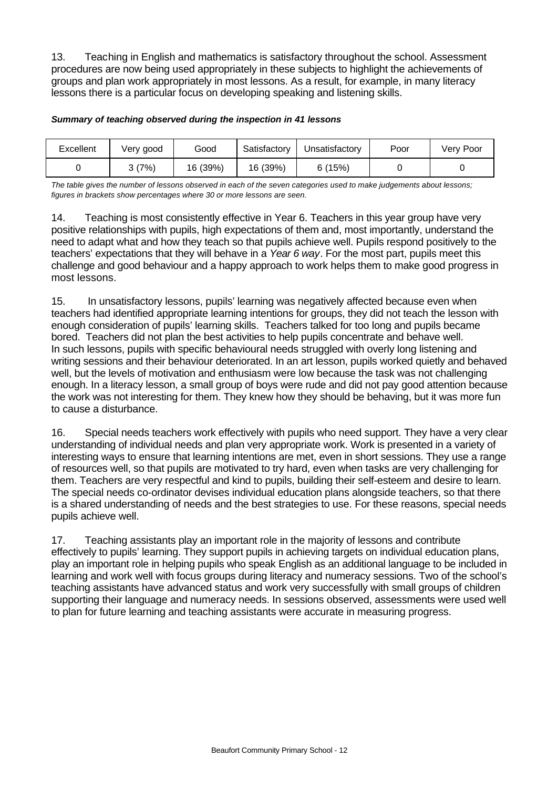13. Teaching in English and mathematics is satisfactory throughout the school. Assessment procedures are now being used appropriately in these subjects to highlight the achievements of groups and plan work appropriately in most lessons. As a result, for example, in many literacy lessons there is a particular focus on developing speaking and listening skills.

| Excellent | Very good | Good     | Satisfactory | Unsatisfactory | Poor | Very Poor |
|-----------|-----------|----------|--------------|----------------|------|-----------|
|           | 3(7%)     | 16 (39%) | 16 (39%)     | 6(15%)         |      |           |

#### *Summary of teaching observed during the inspection in 41 lessons*

*The table gives the number of lessons observed in each of the seven categories used to make judgements about lessons; figures in brackets show percentages where 30 or more lessons are seen.*

14. Teaching is most consistently effective in Year 6. Teachers in this year group have very positive relationships with pupils, high expectations of them and, most importantly, understand the need to adapt what and how they teach so that pupils achieve well. Pupils respond positively to the teachers' expectations that they will behave in a *Year 6 way*. For the most part, pupils meet this challenge and good behaviour and a happy approach to work helps them to make good progress in most lessons.

15. In unsatisfactory lessons, pupils' learning was negatively affected because even when teachers had identified appropriate learning intentions for groups, they did not teach the lesson with enough consideration of pupils' learning skills. Teachers talked for too long and pupils became bored. Teachers did not plan the best activities to help pupils concentrate and behave well. In such lessons, pupils with specific behavioural needs struggled with overly long listening and writing sessions and their behaviour deteriorated. In an art lesson, pupils worked quietly and behaved well, but the levels of motivation and enthusiasm were low because the task was not challenging enough. In a literacy lesson, a small group of boys were rude and did not pay good attention because the work was not interesting for them. They knew how they should be behaving, but it was more fun to cause a disturbance.

16. Special needs teachers work effectively with pupils who need support. They have a very clear understanding of individual needs and plan very appropriate work. Work is presented in a variety of interesting ways to ensure that learning intentions are met, even in short sessions. They use a range of resources well, so that pupils are motivated to try hard, even when tasks are very challenging for them. Teachers are very respectful and kind to pupils, building their self-esteem and desire to learn. The special needs co-ordinator devises individual education plans alongside teachers, so that there is a shared understanding of needs and the best strategies to use. For these reasons, special needs pupils achieve well.

17. Teaching assistants play an important role in the majority of lessons and contribute effectively to pupils' learning. They support pupils in achieving targets on individual education plans, play an important role in helping pupils who speak English as an additional language to be included in learning and work well with focus groups during literacy and numeracy sessions. Two of the school's teaching assistants have advanced status and work very successfully with small groups of children supporting their language and numeracy needs. In sessions observed, assessments were used well to plan for future learning and teaching assistants were accurate in measuring progress.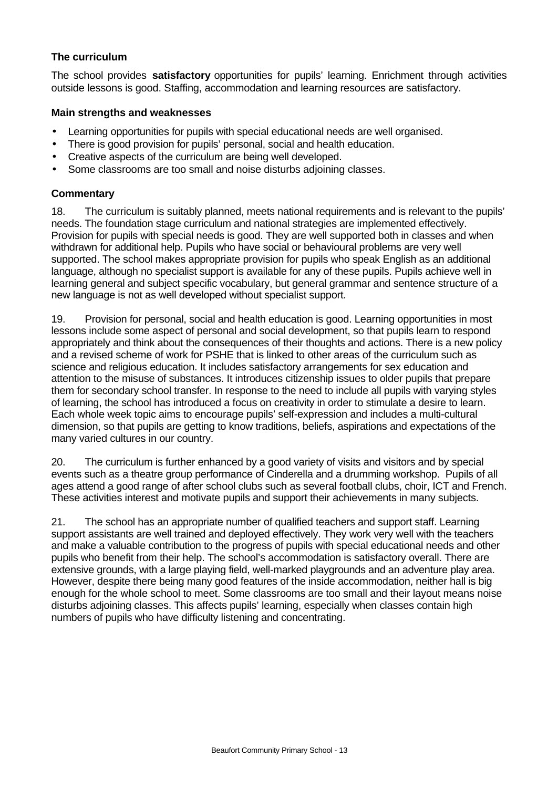## **The curriculum**

The school provides **satisfactory** opportunities for pupils' learning. Enrichment through activities outside lessons is good. Staffing, accommodation and learning resources are satisfactory.

#### **Main strengths and weaknesses**

- Learning opportunities for pupils with special educational needs are well organised.
- There is good provision for pupils' personal, social and health education.
- Creative aspects of the curriculum are being well developed.
- Some classrooms are too small and noise disturbs adjoining classes.

## **Commentary**

18. The curriculum is suitably planned, meets national requirements and is relevant to the pupils' needs. The foundation stage curriculum and national strategies are implemented effectively. Provision for pupils with special needs is good. They are well supported both in classes and when withdrawn for additional help. Pupils who have social or behavioural problems are very well supported. The school makes appropriate provision for pupils who speak English as an additional language, although no specialist support is available for any of these pupils. Pupils achieve well in learning general and subject specific vocabulary, but general grammar and sentence structure of a new language is not as well developed without specialist support.

19. Provision for personal, social and health education is good. Learning opportunities in most lessons include some aspect of personal and social development, so that pupils learn to respond appropriately and think about the consequences of their thoughts and actions. There is a new policy and a revised scheme of work for PSHE that is linked to other areas of the curriculum such as science and religious education. It includes satisfactory arrangements for sex education and attention to the misuse of substances. It introduces citizenship issues to older pupils that prepare them for secondary school transfer. In response to the need to include all pupils with varying styles of learning, the school has introduced a focus on creativity in order to stimulate a desire to learn. Each whole week topic aims to encourage pupils' self-expression and includes a multi-cultural dimension, so that pupils are getting to know traditions, beliefs, aspirations and expectations of the many varied cultures in our country.

20. The curriculum is further enhanced by a good variety of visits and visitors and by special events such as a theatre group performance of Cinderella and a drumming workshop. Pupils of all ages attend a good range of after school clubs such as several football clubs, choir, ICT and French. These activities interest and motivate pupils and support their achievements in many subjects.

21. The school has an appropriate number of qualified teachers and support staff. Learning support assistants are well trained and deployed effectively. They work very well with the teachers and make a valuable contribution to the progress of pupils with special educational needs and other pupils who benefit from their help. The school's accommodation is satisfactory overall. There are extensive grounds, with a large playing field, well-marked playgrounds and an adventure play area. However, despite there being many good features of the inside accommodation, neither hall is big enough for the whole school to meet. Some classrooms are too small and their layout means noise disturbs adjoining classes. This affects pupils' learning, especially when classes contain high numbers of pupils who have difficulty listening and concentrating.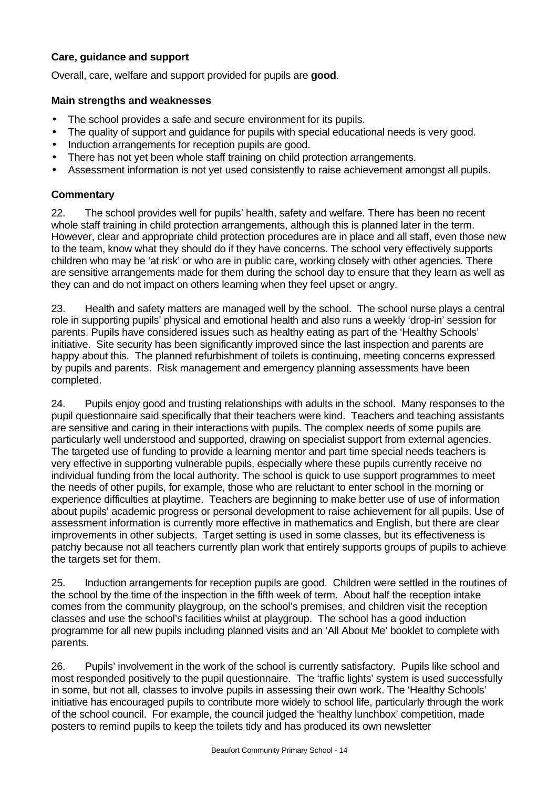# **Care, guidance and support**

Overall, care, welfare and support provided for pupils are **good**.

#### **Main strengths and weaknesses**

- The school provides a safe and secure environment for its pupils.
- The quality of support and guidance for pupils with special educational needs is very good.
- Induction arrangements for reception pupils are good.
- There has not yet been whole staff training on child protection arrangements.
- Assessment information is not vet used consistently to raise achievement amongst all pupils.

### **Commentary**

22. The school provides well for pupils' health, safety and welfare. There has been no recent whole staff training in child protection arrangements, although this is planned later in the term. However, clear and appropriate child protection procedures are in place and all staff, even those new to the team, know what they should do if they have concerns. The school very effectively supports children who may be 'at risk' or who are in public care, working closely with other agencies. There are sensitive arrangements made for them during the school day to ensure that they learn as well as they can and do not impact on others learning when they feel upset or angry.

23. Health and safety matters are managed well by the school. The school nurse plays a central role in supporting pupils' physical and emotional health and also runs a weekly 'drop-in' session for parents. Pupils have considered issues such as healthy eating as part of the 'Healthy Schools' initiative. Site security has been significantly improved since the last inspection and parents are happy about this. The planned refurbishment of toilets is continuing, meeting concerns expressed by pupils and parents. Risk management and emergency planning assessments have been completed.

24. Pupils enjoy good and trusting relationships with adults in the school. Many responses to the pupil questionnaire said specifically that their teachers were kind. Teachers and teaching assistants are sensitive and caring in their interactions with pupils. The complex needs of some pupils are particularly well understood and supported, drawing on specialist support from external agencies. The targeted use of funding to provide a learning mentor and part time special needs teachers is very effective in supporting vulnerable pupils, especially where these pupils currently receive no individual funding from the local authority. The school is quick to use support programmes to meet the needs of other pupils, for example, those who are reluctant to enter school in the morning or experience difficulties at playtime. Teachers are beginning to make better use of use of information about pupils' academic progress or personal development to raise achievement for all pupils. Use of assessment information is currently more effective in mathematics and English, but there are clear improvements in other subjects. Target setting is used in some classes, but its effectiveness is patchy because not all teachers currently plan work that entirely supports groups of pupils to achieve the targets set for them.

25. Induction arrangements for reception pupils are good. Children were settled in the routines of the school by the time of the inspection in the fifth week of term. About half the reception intake comes from the community playgroup, on the school's premises, and children visit the reception classes and use the school's facilities whilst at playgroup. The school has a good induction programme for all new pupils including planned visits and an 'All About Me' booklet to complete with parents.

26. Pupils' involvement in the work of the school is currently satisfactory. Pupils like school and most responded positively to the pupil questionnaire. The 'traffic lights' system is used successfully in some, but not all, classes to involve pupils in assessing their own work. The 'Healthy Schools' initiative has encouraged pupils to contribute more widely to school life, particularly through the work of the school council. For example, the council judged the 'healthy lunchbox' competition, made posters to remind pupils to keep the toilets tidy and has produced its own newsletter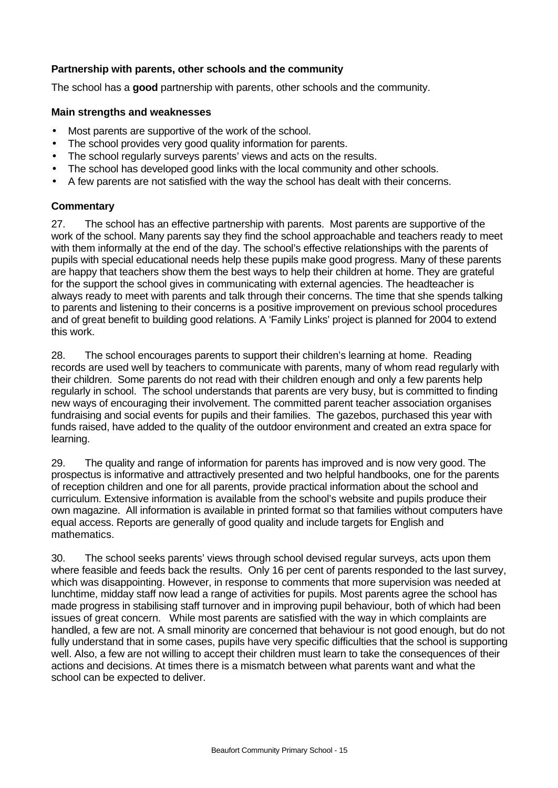## **Partnership with parents, other schools and the community**

The school has a **good** partnership with parents, other schools and the community.

#### **Main strengths and weaknesses**

- Most parents are supportive of the work of the school.
- The school provides very good quality information for parents.
- The school regularly surveys parents' views and acts on the results.
- The school has developed good links with the local community and other schools.
- A few parents are not satisfied with the way the school has dealt with their concerns.

## **Commentary**

27. The school has an effective partnership with parents. Most parents are supportive of the work of the school. Many parents say they find the school approachable and teachers ready to meet with them informally at the end of the day. The school's effective relationships with the parents of pupils with special educational needs help these pupils make good progress. Many of these parents are happy that teachers show them the best ways to help their children at home. They are grateful for the support the school gives in communicating with external agencies. The headteacher is always ready to meet with parents and talk through their concerns. The time that she spends talking to parents and listening to their concerns is a positive improvement on previous school procedures and of great benefit to building good relations. A 'Family Links' project is planned for 2004 to extend this work.

28. The school encourages parents to support their children's learning at home. Reading records are used well by teachers to communicate with parents, many of whom read regularly with their children. Some parents do not read with their children enough and only a few parents help regularly in school. The school understands that parents are very busy, but is committed to finding new ways of encouraging their involvement. The committed parent teacher association organises fundraising and social events for pupils and their families. The gazebos, purchased this year with funds raised, have added to the quality of the outdoor environment and created an extra space for learning.

29. The quality and range of information for parents has improved and is now very good. The prospectus is informative and attractively presented and two helpful handbooks, one for the parents of reception children and one for all parents, provide practical information about the school and curriculum. Extensive information is available from the school's website and pupils produce their own magazine. All information is available in printed format so that families without computers have equal access. Reports are generally of good quality and include targets for English and mathematics.

30. The school seeks parents' views through school devised regular surveys, acts upon them where feasible and feeds back the results. Only 16 per cent of parents responded to the last survey, which was disappointing. However, in response to comments that more supervision was needed at lunchtime, midday staff now lead a range of activities for pupils. Most parents agree the school has made progress in stabilising staff turnover and in improving pupil behaviour, both of which had been issues of great concern. While most parents are satisfied with the way in which complaints are handled, a few are not. A small minority are concerned that behaviour is not good enough, but do not fully understand that in some cases, pupils have very specific difficulties that the school is supporting well. Also, a few are not willing to accept their children must learn to take the consequences of their actions and decisions. At times there is a mismatch between what parents want and what the school can be expected to deliver.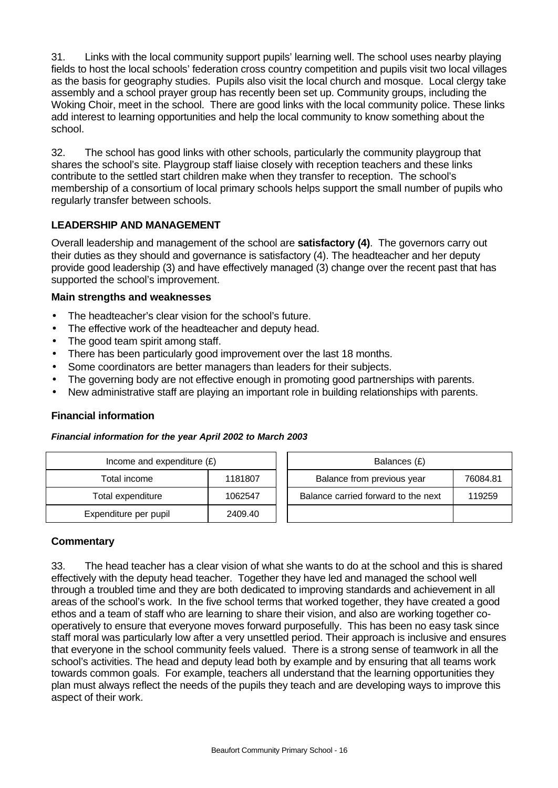31. Links with the local community support pupils' learning well. The school uses nearby playing fields to host the local schools' federation cross country competition and pupils visit two local villages as the basis for geography studies. Pupils also visit the local church and mosque. Local clergy take assembly and a school prayer group has recently been set up. Community groups, including the Woking Choir, meet in the school. There are good links with the local community police. These links add interest to learning opportunities and help the local community to know something about the school.

32. The school has good links with other schools, particularly the community playgroup that shares the school's site. Playgroup staff liaise closely with reception teachers and these links contribute to the settled start children make when they transfer to reception. The school's membership of a consortium of local primary schools helps support the small number of pupils who regularly transfer between schools.

## **LEADERSHIP AND MANAGEMENT**

Overall leadership and management of the school are **satisfactory (4)**. The governors carry out their duties as they should and governance is satisfactory (4). The headteacher and her deputy provide good leadership (3) and have effectively managed (3) change over the recent past that has supported the school's improvement.

#### **Main strengths and weaknesses**

- The headteacher's clear vision for the school's future.
- The effective work of the headteacher and deputy head.
- The good team spirit among staff.
- There has been particularly good improvement over the last 18 months.
- Some coordinators are better managers than leaders for their subjects.
- The governing body are not effective enough in promoting good partnerships with parents.
- New administrative staff are playing an important role in building relationships with parents.

#### **Financial information**

#### *Financial information for the year April 2002 to March 2003*

| Income and expenditure $(E)$ |         | Balances (£)                        |          |
|------------------------------|---------|-------------------------------------|----------|
| Total income                 | 1181807 | Balance from previous year          | 76084.81 |
| Total expenditure            | 1062547 | Balance carried forward to the next | 119259   |
| Expenditure per pupil        | 2409.40 |                                     |          |

#### **Commentary**

33. The head teacher has a clear vision of what she wants to do at the school and this is shared effectively with the deputy head teacher. Together they have led and managed the school well through a troubled time and they are both dedicated to improving standards and achievement in all areas of the school's work. In the five school terms that worked together, they have created a good ethos and a team of staff who are learning to share their vision, and also are working together cooperatively to ensure that everyone moves forward purposefully. This has been no easy task since staff moral was particularly low after a very unsettled period. Their approach is inclusive and ensures that everyone in the school community feels valued. There is a strong sense of teamwork in all the school's activities. The head and deputy lead both by example and by ensuring that all teams work towards common goals. For example, teachers all understand that the learning opportunities they plan must always reflect the needs of the pupils they teach and are developing ways to improve this aspect of their work.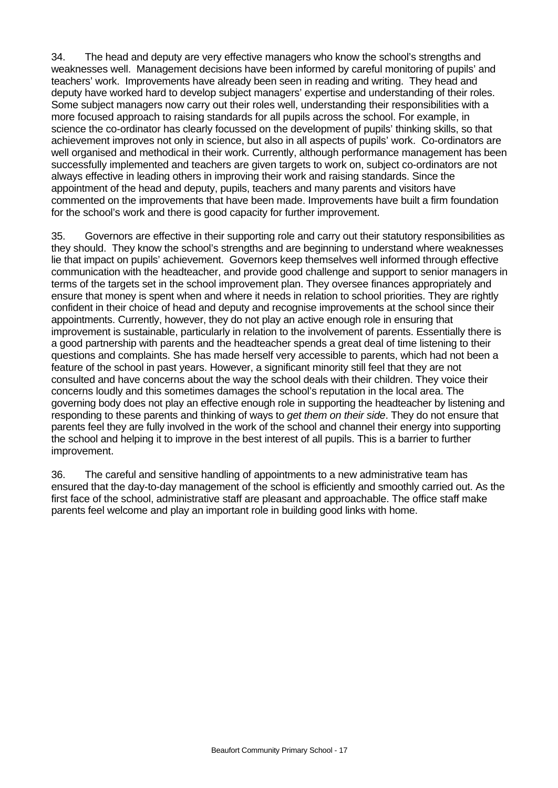34. The head and deputy are very effective managers who know the school's strengths and weaknesses well. Management decisions have been informed by careful monitoring of pupils' and teachers' work. Improvements have already been seen in reading and writing. They head and deputy have worked hard to develop subject managers' expertise and understanding of their roles. Some subject managers now carry out their roles well, understanding their responsibilities with a more focused approach to raising standards for all pupils across the school. For example, in science the co-ordinator has clearly focussed on the development of pupils' thinking skills, so that achievement improves not only in science, but also in all aspects of pupils' work. Co-ordinators are well organised and methodical in their work. Currently, although performance management has been successfully implemented and teachers are given targets to work on, subject co-ordinators are not always effective in leading others in improving their work and raising standards. Since the appointment of the head and deputy, pupils, teachers and many parents and visitors have commented on the improvements that have been made. Improvements have built a firm foundation for the school's work and there is good capacity for further improvement.

35. Governors are effective in their supporting role and carry out their statutory responsibilities as they should. They know the school's strengths and are beginning to understand where weaknesses lie that impact on pupils' achievement. Governors keep themselves well informed through effective communication with the headteacher, and provide good challenge and support to senior managers in terms of the targets set in the school improvement plan. They oversee finances appropriately and ensure that money is spent when and where it needs in relation to school priorities. They are rightly confident in their choice of head and deputy and recognise improvements at the school since their appointments. Currently, however, they do not play an active enough role in ensuring that improvement is sustainable, particularly in relation to the involvement of parents. Essentially there is a good partnership with parents and the headteacher spends a great deal of time listening to their questions and complaints. She has made herself very accessible to parents, which had not been a feature of the school in past years. However, a significant minority still feel that they are not consulted and have concerns about the way the school deals with their children. They voice their concerns loudly and this sometimes damages the school's reputation in the local area. The governing body does not play an effective enough role in supporting the headteacher by listening and responding to these parents and thinking of ways to *get them on their side*. They do not ensure that parents feel they are fully involved in the work of the school and channel their energy into supporting the school and helping it to improve in the best interest of all pupils. This is a barrier to further improvement.

36. The careful and sensitive handling of appointments to a new administrative team has ensured that the day-to-day management of the school is efficiently and smoothly carried out. As the first face of the school, administrative staff are pleasant and approachable. The office staff make parents feel welcome and play an important role in building good links with home.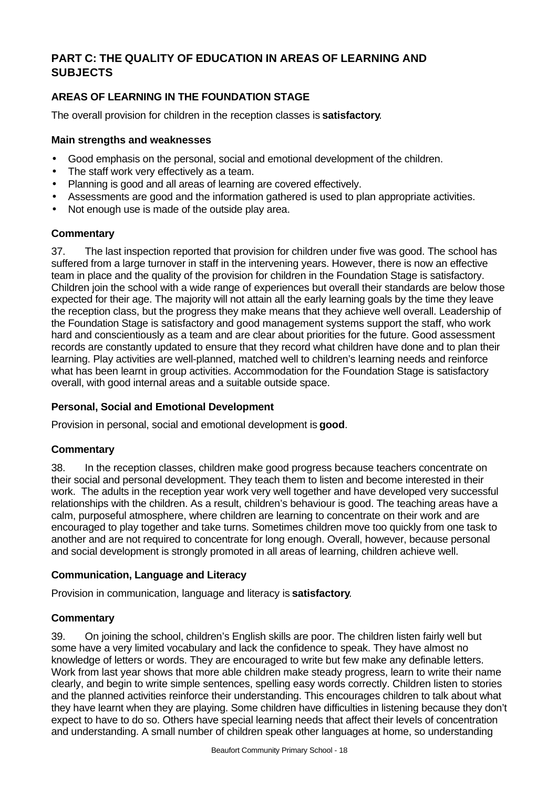# **PART C: THE QUALITY OF EDUCATION IN AREAS OF LEARNING AND SUBJECTS**

# **AREAS OF LEARNING IN THE FOUNDATION STAGE**

The overall provision for children in the reception classes is **satisfactory**.

#### **Main strengths and weaknesses**

- Good emphasis on the personal, social and emotional development of the children.
- The staff work very effectively as a team.
- Planning is good and all areas of learning are covered effectively.
- Assessments are good and the information gathered is used to plan appropriate activities.
- Not enough use is made of the outside play area.

#### **Commentary**

37. The last inspection reported that provision for children under five was good. The school has suffered from a large turnover in staff in the intervening years. However, there is now an effective team in place and the quality of the provision for children in the Foundation Stage is satisfactory. Children join the school with a wide range of experiences but overall their standards are below those expected for their age. The majority will not attain all the early learning goals by the time they leave the reception class, but the progress they make means that they achieve well overall. Leadership of the Foundation Stage is satisfactory and good management systems support the staff, who work hard and conscientiously as a team and are clear about priorities for the future. Good assessment records are constantly updated to ensure that they record what children have done and to plan their learning. Play activities are well-planned, matched well to children's learning needs and reinforce what has been learnt in group activities. Accommodation for the Foundation Stage is satisfactory overall, with good internal areas and a suitable outside space.

#### **Personal, Social and Emotional Development**

Provision in personal, social and emotional development is **good**.

#### **Commentary**

38. In the reception classes, children make good progress because teachers concentrate on their social and personal development. They teach them to listen and become interested in their work. The adults in the reception year work very well together and have developed very successful relationships with the children. As a result, children's behaviour is good. The teaching areas have a calm, purposeful atmosphere, where children are learning to concentrate on their work and are encouraged to play together and take turns. Sometimes children move too quickly from one task to another and are not required to concentrate for long enough. Overall, however, because personal and social development is strongly promoted in all areas of learning, children achieve well.

#### **Communication, Language and Literacy**

Provision in communication, language and literacy is **satisfactory**.

#### **Commentary**

39. On joining the school, children's English skills are poor. The children listen fairly well but some have a very limited vocabulary and lack the confidence to speak. They have almost no knowledge of letters or words. They are encouraged to write but few make any definable letters. Work from last year shows that more able children make steady progress, learn to write their name clearly, and begin to write simple sentences, spelling easy words correctly. Children listen to stories and the planned activities reinforce their understanding. This encourages children to talk about what they have learnt when they are playing. Some children have difficulties in listening because they don't expect to have to do so. Others have special learning needs that affect their levels of concentration and understanding. A small number of children speak other languages at home, so understanding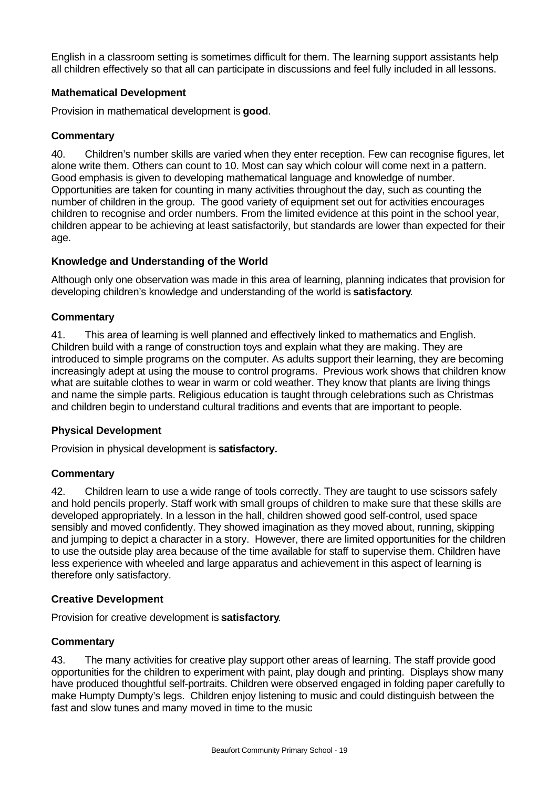English in a classroom setting is sometimes difficult for them. The learning support assistants help all children effectively so that all can participate in discussions and feel fully included in all lessons.

## **Mathematical Development**

Provision in mathematical development is **good**.

#### **Commentary**

40. Children's number skills are varied when they enter reception. Few can recognise figures, let alone write them. Others can count to 10. Most can say which colour will come next in a pattern. Good emphasis is given to developing mathematical language and knowledge of number. Opportunities are taken for counting in many activities throughout the day, such as counting the number of children in the group. The good variety of equipment set out for activities encourages children to recognise and order numbers. From the limited evidence at this point in the school year, children appear to be achieving at least satisfactorily, but standards are lower than expected for their age.

#### **Knowledge and Understanding of the World**

Although only one observation was made in this area of learning, planning indicates that provision for developing children's knowledge and understanding of the world is **satisfactory**.

## **Commentary**

41. This area of learning is well planned and effectively linked to mathematics and English. Children build with a range of construction toys and explain what they are making. They are introduced to simple programs on the computer. As adults support their learning, they are becoming increasingly adept at using the mouse to control programs. Previous work shows that children know what are suitable clothes to wear in warm or cold weather. They know that plants are living things and name the simple parts. Religious education is taught through celebrations such as Christmas and children begin to understand cultural traditions and events that are important to people.

#### **Physical Development**

Provision in physical development is **satisfactory.**

#### **Commentary**

42. Children learn to use a wide range of tools correctly. They are taught to use scissors safely and hold pencils properly. Staff work with small groups of children to make sure that these skills are developed appropriately. In a lesson in the hall, children showed good self-control, used space sensibly and moved confidently. They showed imagination as they moved about, running, skipping and jumping to depict a character in a story. However, there are limited opportunities for the children to use the outside play area because of the time available for staff to supervise them. Children have less experience with wheeled and large apparatus and achievement in this aspect of learning is therefore only satisfactory.

#### **Creative Development**

Provision for creative development is **satisfactory**.

#### **Commentary**

43. The many activities for creative play support other areas of learning. The staff provide good opportunities for the children to experiment with paint, play dough and printing. Displays show many have produced thoughtful self-portraits. Children were observed engaged in folding paper carefully to make Humpty Dumpty's legs. Children enjoy listening to music and could distinguish between the fast and slow tunes and many moved in time to the music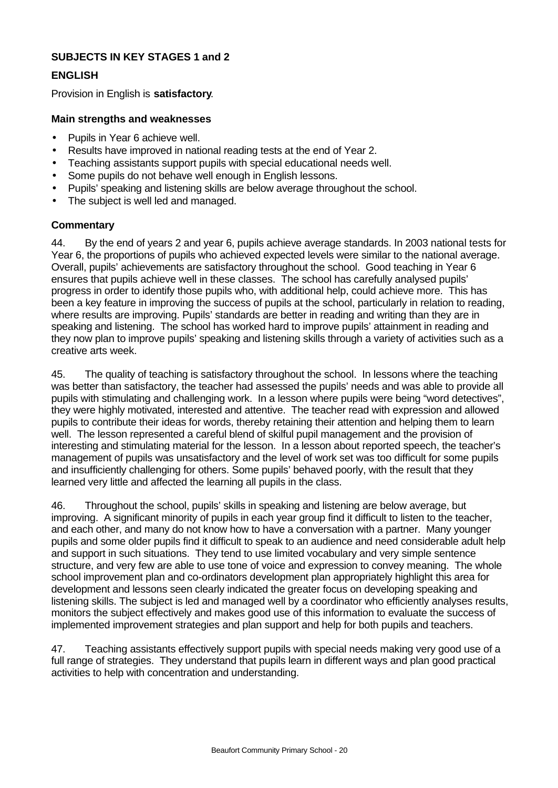## **SUBJECTS IN KEY STAGES 1 and 2**

## **ENGLISH**

Provision in English is **satisfactory**.

#### **Main strengths and weaknesses**

- Pupils in Year 6 achieve well.
- Results have improved in national reading tests at the end of Year 2.
- Teaching assistants support pupils with special educational needs well.
- Some pupils do not behave well enough in English lessons.
- Pupils' speaking and listening skills are below average throughout the school.
- The subject is well led and managed.

## **Commentary**

44. By the end of years 2 and year 6, pupils achieve average standards. In 2003 national tests for Year 6, the proportions of pupils who achieved expected levels were similar to the national average. Overall, pupils' achievements are satisfactory throughout the school. Good teaching in Year 6 ensures that pupils achieve well in these classes. The school has carefully analysed pupils' progress in order to identify those pupils who, with additional help, could achieve more. This has been a key feature in improving the success of pupils at the school, particularly in relation to reading, where results are improving. Pupils' standards are better in reading and writing than they are in speaking and listening. The school has worked hard to improve pupils' attainment in reading and they now plan to improve pupils' speaking and listening skills through a variety of activities such as a creative arts week.

45. The quality of teaching is satisfactory throughout the school. In lessons where the teaching was better than satisfactory, the teacher had assessed the pupils' needs and was able to provide all pupils with stimulating and challenging work. In a lesson where pupils were being "word detectives", they were highly motivated, interested and attentive. The teacher read with expression and allowed pupils to contribute their ideas for words, thereby retaining their attention and helping them to learn well. The lesson represented a careful blend of skilful pupil management and the provision of interesting and stimulating material for the lesson. In a lesson about reported speech, the teacher's management of pupils was unsatisfactory and the level of work set was too difficult for some pupils and insufficiently challenging for others. Some pupils' behaved poorly, with the result that they learned very little and affected the learning all pupils in the class.

46. Throughout the school, pupils' skills in speaking and listening are below average, but improving. A significant minority of pupils in each year group find it difficult to listen to the teacher, and each other, and many do not know how to have a conversation with a partner. Many younger pupils and some older pupils find it difficult to speak to an audience and need considerable adult help and support in such situations. They tend to use limited vocabulary and very simple sentence structure, and very few are able to use tone of voice and expression to convey meaning. The whole school improvement plan and co-ordinators development plan appropriately highlight this area for development and lessons seen clearly indicated the greater focus on developing speaking and listening skills. The subject is led and managed well by a coordinator who efficiently analyses results, monitors the subject effectively and makes good use of this information to evaluate the success of implemented improvement strategies and plan support and help for both pupils and teachers.

47. Teaching assistants effectively support pupils with special needs making very good use of a full range of strategies. They understand that pupils learn in different ways and plan good practical activities to help with concentration and understanding.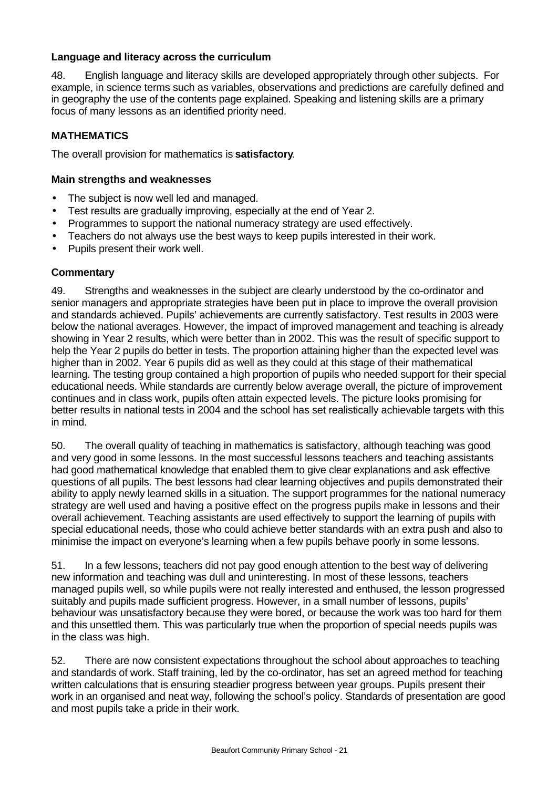## **Language and literacy across the curriculum**

48. English language and literacy skills are developed appropriately through other subjects. For example, in science terms such as variables, observations and predictions are carefully defined and in geography the use of the contents page explained. Speaking and listening skills are a primary focus of many lessons as an identified priority need.

# **MATHEMATICS**

The overall provision for mathematics is **satisfactory**.

## **Main strengths and weaknesses**

- The subject is now well led and managed.
- Test results are gradually improving, especially at the end of Year 2.
- Programmes to support the national numeracy strategy are used effectively.
- Teachers do not always use the best ways to keep pupils interested in their work.
- Pupils present their work well.

## **Commentary**

49. Strengths and weaknesses in the subject are clearly understood by the co-ordinator and senior managers and appropriate strategies have been put in place to improve the overall provision and standards achieved. Pupils' achievements are currently satisfactory. Test results in 2003 were below the national averages. However, the impact of improved management and teaching is already showing in Year 2 results, which were better than in 2002. This was the result of specific support to help the Year 2 pupils do better in tests. The proportion attaining higher than the expected level was higher than in 2002. Year 6 pupils did as well as they could at this stage of their mathematical learning. The testing group contained a high proportion of pupils who needed support for their special educational needs. While standards are currently below average overall, the picture of improvement continues and in class work, pupils often attain expected levels. The picture looks promising for better results in national tests in 2004 and the school has set realistically achievable targets with this in mind.

50. The overall quality of teaching in mathematics is satisfactory, although teaching was good and very good in some lessons. In the most successful lessons teachers and teaching assistants had good mathematical knowledge that enabled them to give clear explanations and ask effective questions of all pupils. The best lessons had clear learning objectives and pupils demonstrated their ability to apply newly learned skills in a situation. The support programmes for the national numeracy strategy are well used and having a positive effect on the progress pupils make in lessons and their overall achievement. Teaching assistants are used effectively to support the learning of pupils with special educational needs, those who could achieve better standards with an extra push and also to minimise the impact on everyone's learning when a few pupils behave poorly in some lessons.

51. In a few lessons, teachers did not pay good enough attention to the best way of delivering new information and teaching was dull and uninteresting. In most of these lessons, teachers managed pupils well, so while pupils were not really interested and enthused, the lesson progressed suitably and pupils made sufficient progress. However, in a small number of lessons, pupils' behaviour was unsatisfactory because they were bored, or because the work was too hard for them and this unsettled them. This was particularly true when the proportion of special needs pupils was in the class was high.

52. There are now consistent expectations throughout the school about approaches to teaching and standards of work. Staff training, led by the co-ordinator, has set an agreed method for teaching written calculations that is ensuring steadier progress between year groups. Pupils present their work in an organised and neat way, following the school's policy. Standards of presentation are good and most pupils take a pride in their work.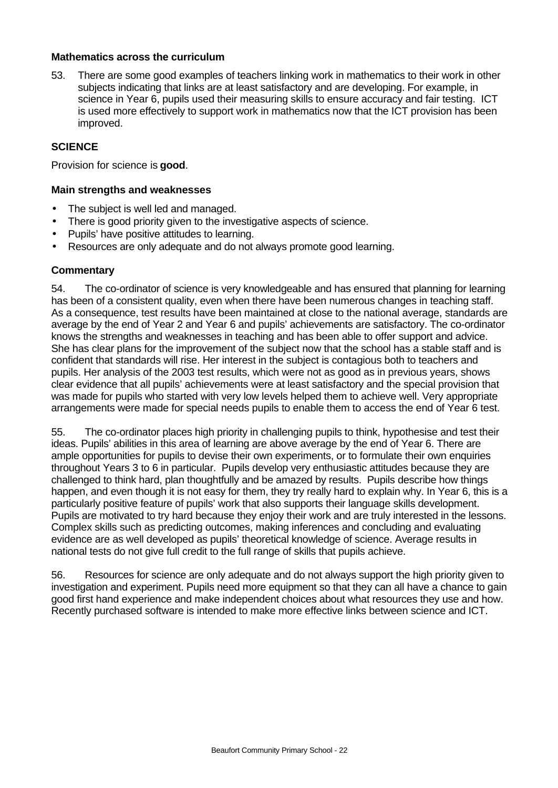#### **Mathematics across the curriculum**

53. There are some good examples of teachers linking work in mathematics to their work in other subjects indicating that links are at least satisfactory and are developing. For example, in science in Year 6, pupils used their measuring skills to ensure accuracy and fair testing. ICT is used more effectively to support work in mathematics now that the ICT provision has been improved.

#### **SCIENCE**

Provision for science is **good**.

#### **Main strengths and weaknesses**

- The subject is well led and managed.
- There is good priority given to the investigative aspects of science.
- Pupils' have positive attitudes to learning.
- Resources are only adequate and do not always promote good learning.

#### **Commentary**

54. The co-ordinator of science is very knowledgeable and has ensured that planning for learning has been of a consistent quality, even when there have been numerous changes in teaching staff. As a consequence, test results have been maintained at close to the national average, standards are average by the end of Year 2 and Year 6 and pupils' achievements are satisfactory. The co-ordinator knows the strengths and weaknesses in teaching and has been able to offer support and advice. She has clear plans for the improvement of the subject now that the school has a stable staff and is confident that standards will rise. Her interest in the subject is contagious both to teachers and pupils. Her analysis of the 2003 test results, which were not as good as in previous years, shows clear evidence that all pupils' achievements were at least satisfactory and the special provision that was made for pupils who started with very low levels helped them to achieve well. Very appropriate arrangements were made for special needs pupils to enable them to access the end of Year 6 test.

55. The co-ordinator places high priority in challenging pupils to think, hypothesise and test their ideas. Pupils' abilities in this area of learning are above average by the end of Year 6. There are ample opportunities for pupils to devise their own experiments, or to formulate their own enquiries throughout Years 3 to 6 in particular. Pupils develop very enthusiastic attitudes because they are challenged to think hard, plan thoughtfully and be amazed by results. Pupils describe how things happen, and even though it is not easy for them, they try really hard to explain why. In Year 6, this is a particularly positive feature of pupils' work that also supports their language skills development. Pupils are motivated to try hard because they enjoy their work and are truly interested in the lessons. Complex skills such as predicting outcomes, making inferences and concluding and evaluating evidence are as well developed as pupils' theoretical knowledge of science. Average results in national tests do not give full credit to the full range of skills that pupils achieve.

56. Resources for science are only adequate and do not always support the high priority given to investigation and experiment. Pupils need more equipment so that they can all have a chance to gain good first hand experience and make independent choices about what resources they use and how. Recently purchased software is intended to make more effective links between science and ICT.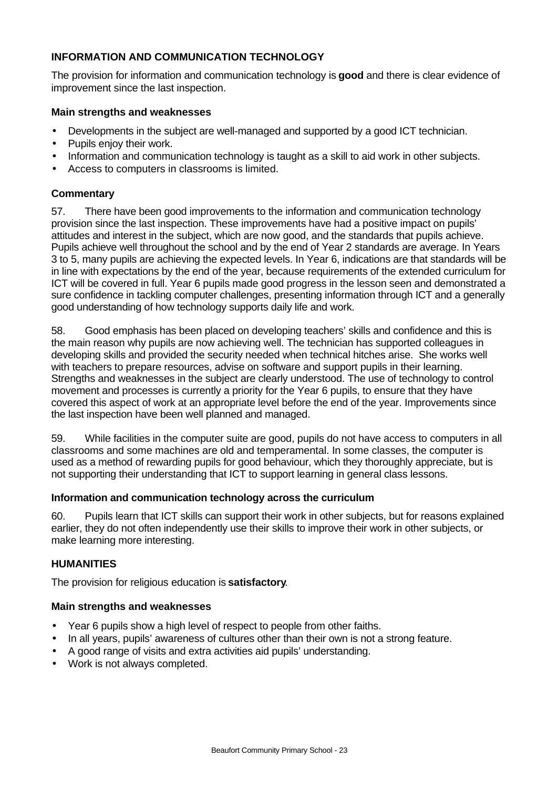# **INFORMATION AND COMMUNICATION TECHNOLOGY**

The provision for information and communication technology is **good** and there is clear evidence of improvement since the last inspection.

#### **Main strengths and weaknesses**

- Developments in the subject are well-managed and supported by a good ICT technician.
- Pupils enjoy their work.
- Information and communication technology is taught as a skill to aid work in other subjects.
- Access to computers in classrooms is limited.

#### **Commentary**

57. There have been good improvements to the information and communication technology provision since the last inspection. These improvements have had a positive impact on pupils' attitudes and interest in the subject, which are now good, and the standards that pupils achieve. Pupils achieve well throughout the school and by the end of Year 2 standards are average. In Years 3 to 5, many pupils are achieving the expected levels. In Year 6, indications are that standards will be in line with expectations by the end of the year, because requirements of the extended curriculum for ICT will be covered in full. Year 6 pupils made good progress in the lesson seen and demonstrated a sure confidence in tackling computer challenges, presenting information through ICT and a generally good understanding of how technology supports daily life and work.

58. Good emphasis has been placed on developing teachers' skills and confidence and this is the main reason why pupils are now achieving well. The technician has supported colleagues in developing skills and provided the security needed when technical hitches arise. She works well with teachers to prepare resources, advise on software and support pupils in their learning. Strengths and weaknesses in the subject are clearly understood. The use of technology to control movement and processes is currently a priority for the Year 6 pupils, to ensure that they have covered this aspect of work at an appropriate level before the end of the year. Improvements since the last inspection have been well planned and managed.

59. While facilities in the computer suite are good, pupils do not have access to computers in all classrooms and some machines are old and temperamental. In some classes, the computer is used as a method of rewarding pupils for good behaviour, which they thoroughly appreciate, but is not supporting their understanding that ICT to support learning in general class lessons.

#### **Information and communication technology across the curriculum**

60. Pupils learn that ICT skills can support their work in other subjects, but for reasons explained earlier, they do not often independently use their skills to improve their work in other subjects, or make learning more interesting.

#### **HUMANITIES**

The provision for religious education is **satisfactory**.

#### **Main strengths and weaknesses**

- Year 6 pupils show a high level of respect to people from other faiths.
- In all years, pupils' awareness of cultures other than their own is not a strong feature.
- A good range of visits and extra activities aid pupils' understanding.
- Work is not always completed.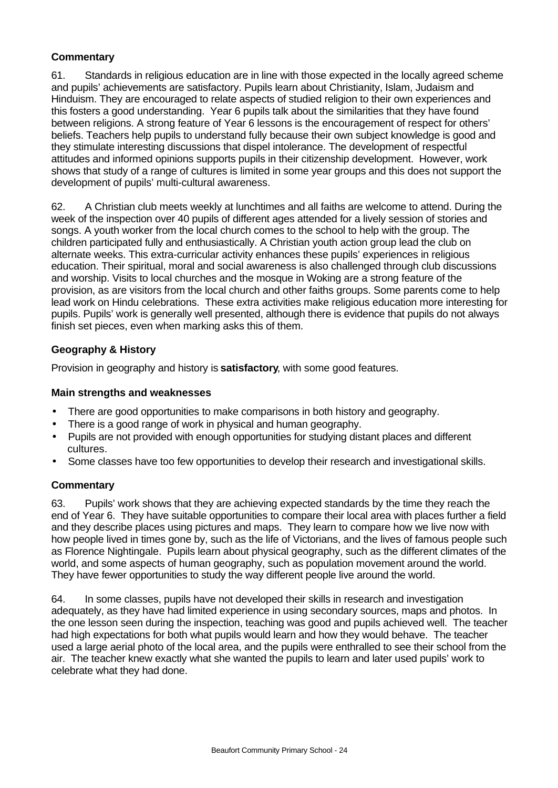# **Commentary**

61. Standards in religious education are in line with those expected in the locally agreed scheme and pupils' achievements are satisfactory. Pupils learn about Christianity, Islam, Judaism and Hinduism. They are encouraged to relate aspects of studied religion to their own experiences and this fosters a good understanding. Year 6 pupils talk about the similarities that they have found between religions. A strong feature of Year 6 lessons is the encouragement of respect for others' beliefs. Teachers help pupils to understand fully because their own subject knowledge is good and they stimulate interesting discussions that dispel intolerance. The development of respectful attitudes and informed opinions supports pupils in their citizenship development. However, work shows that study of a range of cultures is limited in some year groups and this does not support the development of pupils' multi-cultural awareness.

62. A Christian club meets weekly at lunchtimes and all faiths are welcome to attend. During the week of the inspection over 40 pupils of different ages attended for a lively session of stories and songs. A youth worker from the local church comes to the school to help with the group. The children participated fully and enthusiastically. A Christian youth action group lead the club on alternate weeks. This extra-curricular activity enhances these pupils' experiences in religious education. Their spiritual, moral and social awareness is also challenged through club discussions and worship. Visits to local churches and the mosque in Woking are a strong feature of the provision, as are visitors from the local church and other faiths groups. Some parents come to help lead work on Hindu celebrations. These extra activities make religious education more interesting for pupils. Pupils' work is generally well presented, although there is evidence that pupils do not always finish set pieces, even when marking asks this of them.

# **Geography & History**

Provision in geography and history is **satisfactory**, with some good features.

## **Main strengths and weaknesses**

- There are good opportunities to make comparisons in both history and geography.
- There is a good range of work in physical and human geography.
- Pupils are not provided with enough opportunities for studying distant places and different cultures.
- Some classes have too few opportunities to develop their research and investigational skills.

# **Commentary**

63. Pupils' work shows that they are achieving expected standards by the time they reach the end of Year 6. They have suitable opportunities to compare their local area with places further a field and they describe places using pictures and maps. They learn to compare how we live now with how people lived in times gone by, such as the life of Victorians, and the lives of famous people such as Florence Nightingale. Pupils learn about physical geography, such as the different climates of the world, and some aspects of human geography, such as population movement around the world. They have fewer opportunities to study the way different people live around the world.

64. In some classes, pupils have not developed their skills in research and investigation adequately, as they have had limited experience in using secondary sources, maps and photos. In the one lesson seen during the inspection, teaching was good and pupils achieved well. The teacher had high expectations for both what pupils would learn and how they would behave. The teacher used a large aerial photo of the local area, and the pupils were enthralled to see their school from the air. The teacher knew exactly what she wanted the pupils to learn and later used pupils' work to celebrate what they had done.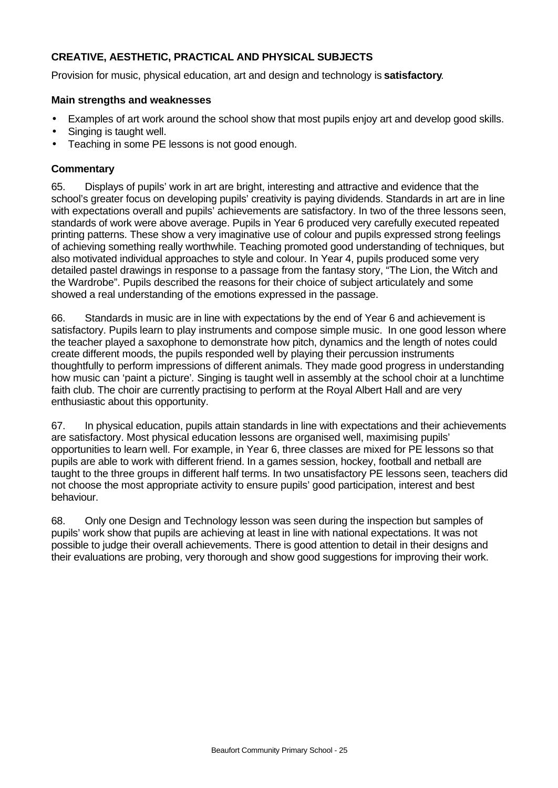# **CREATIVE, AESTHETIC, PRACTICAL AND PHYSICAL SUBJECTS**

Provision for music, physical education, art and design and technology is **satisfactory**.

#### **Main strengths and weaknesses**

- Examples of art work around the school show that most pupils enjoy art and develop good skills.
- Singing is taught well.
- Teaching in some PE lessons is not good enough.

## **Commentary**

65. Displays of pupils' work in art are bright, interesting and attractive and evidence that the school's greater focus on developing pupils' creativity is paying dividends. Standards in art are in line with expectations overall and pupils' achievements are satisfactory. In two of the three lessons seen, standards of work were above average. Pupils in Year 6 produced very carefully executed repeated printing patterns. These show a very imaginative use of colour and pupils expressed strong feelings of achieving something really worthwhile. Teaching promoted good understanding of techniques, but also motivated individual approaches to style and colour. In Year 4, pupils produced some very detailed pastel drawings in response to a passage from the fantasy story, "The Lion, the Witch and the Wardrobe". Pupils described the reasons for their choice of subject articulately and some showed a real understanding of the emotions expressed in the passage.

66. Standards in music are in line with expectations by the end of Year 6 and achievement is satisfactory. Pupils learn to play instruments and compose simple music. In one good lesson where the teacher played a saxophone to demonstrate how pitch, dynamics and the length of notes could create different moods, the pupils responded well by playing their percussion instruments thoughtfully to perform impressions of different animals. They made good progress in understanding how music can 'paint a picture'*.* Singing is taught well in assembly at the school choir at a lunchtime faith club. The choir are currently practising to perform at the Royal Albert Hall and are very enthusiastic about this opportunity.

67. In physical education, pupils attain standards in line with expectations and their achievements are satisfactory. Most physical education lessons are organised well, maximising pupils' opportunities to learn well. For example, in Year 6, three classes are mixed for PE lessons so that pupils are able to work with different friend. In a games session, hockey, football and netball are taught to the three groups in different half terms. In two unsatisfactory PE lessons seen, teachers did not choose the most appropriate activity to ensure pupils' good participation, interest and best behaviour.

68. Only one Design and Technology lesson was seen during the inspection but samples of pupils' work show that pupils are achieving at least in line with national expectations. It was not possible to judge their overall achievements. There is good attention to detail in their designs and their evaluations are probing, very thorough and show good suggestions for improving their work.